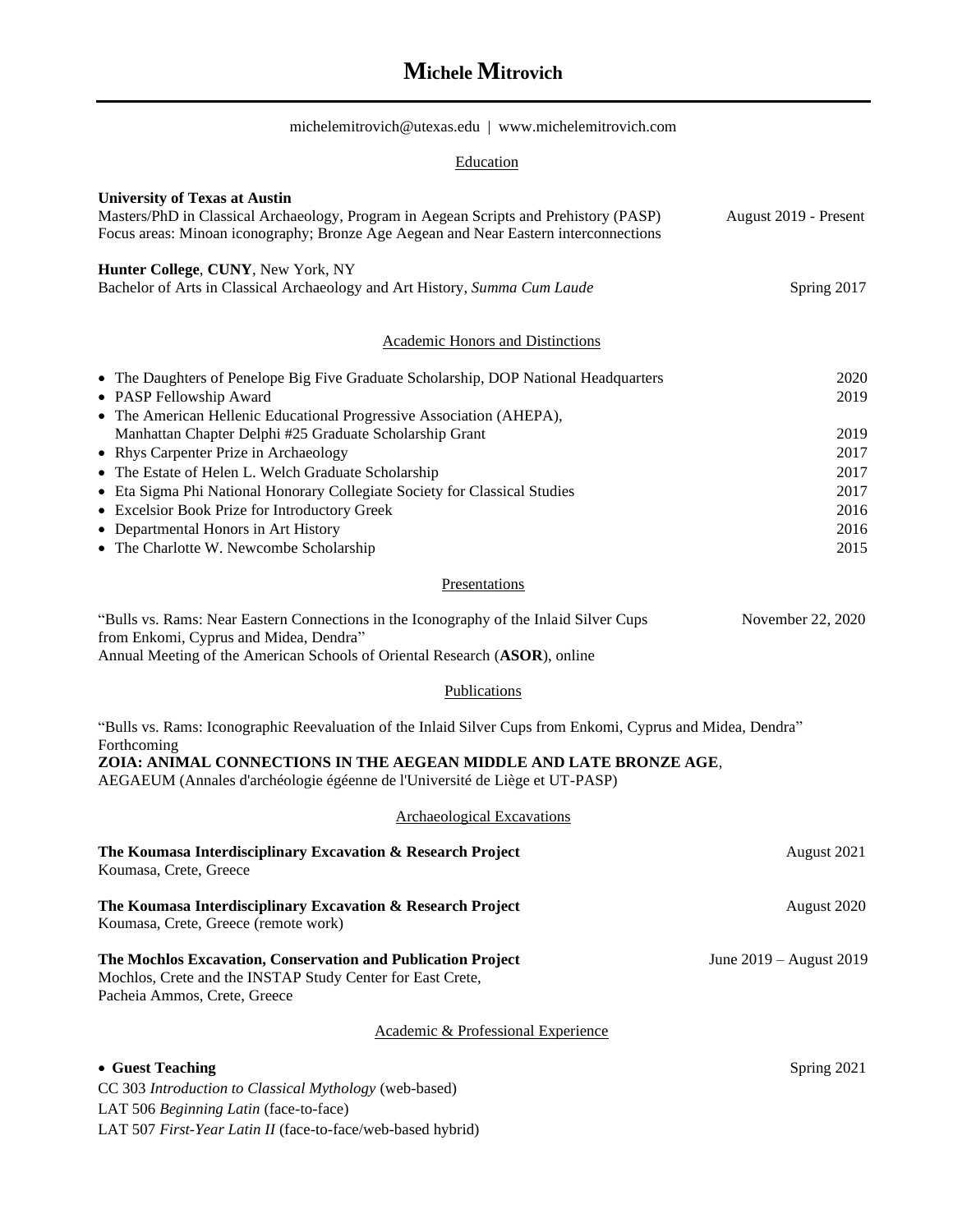# **Michele Mitrovich**

 $\begin{minipage}[c]{0.9\linewidth} \textbf{michelemit} \textbf{rovich@utexas.edu} & \textbf{www.michelemit} \textbf{rovich.com} \end{minipage}$ 

## **Education**

| <b>University of Texas at Austin</b><br>Masters/PhD in Classical Archaeology, Program in Aegean Scripts and Prehistory (PASP)<br>Focus areas: Minoan iconography; Bronze Age Aegean and Near Eastern interconnections                                                                                                                                                                                                                                                                                                     | August 2019 - Present                                        |  |
|---------------------------------------------------------------------------------------------------------------------------------------------------------------------------------------------------------------------------------------------------------------------------------------------------------------------------------------------------------------------------------------------------------------------------------------------------------------------------------------------------------------------------|--------------------------------------------------------------|--|
| Hunter College, CUNY, New York, NY<br>Bachelor of Arts in Classical Archaeology and Art History, Summa Cum Laude                                                                                                                                                                                                                                                                                                                                                                                                          | Spring 2017                                                  |  |
| <b>Academic Honors and Distinctions</b>                                                                                                                                                                                                                                                                                                                                                                                                                                                                                   |                                                              |  |
| • The Daughters of Penelope Big Five Graduate Scholarship, DOP National Headquarters<br>• PASP Fellowship Award<br>• The American Hellenic Educational Progressive Association (AHEPA),<br>Manhattan Chapter Delphi #25 Graduate Scholarship Grant<br>• Rhys Carpenter Prize in Archaeology<br>• The Estate of Helen L. Welch Graduate Scholarship<br>• Eta Sigma Phi National Honorary Collegiate Society for Classical Studies<br>• Excelsior Book Prize for Introductory Greek<br>• Departmental Honors in Art History | 2020<br>2019<br>2019<br>2017<br>2017<br>2017<br>2016<br>2016 |  |
| • The Charlotte W. Newcombe Scholarship                                                                                                                                                                                                                                                                                                                                                                                                                                                                                   | 2015                                                         |  |
| Presentations                                                                                                                                                                                                                                                                                                                                                                                                                                                                                                             |                                                              |  |
| "Bulls vs. Rams: Near Eastern Connections in the Iconography of the Inlaid Silver Cups<br>from Enkomi, Cyprus and Midea, Dendra"<br>Annual Meeting of the American Schools of Oriental Research (ASOR), online                                                                                                                                                                                                                                                                                                            | November 22, 2020                                            |  |
| Publications                                                                                                                                                                                                                                                                                                                                                                                                                                                                                                              |                                                              |  |
| "Bulls vs. Rams: Iconographic Reevaluation of the Inlaid Silver Cups from Enkomi, Cyprus and Midea, Dendra"<br>Forthcoming<br>ZOIA: ANIMAL CONNECTIONS IN THE AEGEAN MIDDLE AND LATE BRONZE AGE,<br>AEGAEUM (Annales d'archéologie égéenne de l'Université de Liège et UT-PASP)                                                                                                                                                                                                                                           |                                                              |  |
| Archaeological Excavations                                                                                                                                                                                                                                                                                                                                                                                                                                                                                                |                                                              |  |
| The Koumasa Interdisciplinary Excavation & Research Project<br>Koumasa, Crete, Greece                                                                                                                                                                                                                                                                                                                                                                                                                                     | August 2021                                                  |  |
| The Koumasa Interdisciplinary Excavation & Research Project<br>Koumasa, Crete, Greece (remote work)                                                                                                                                                                                                                                                                                                                                                                                                                       | August 2020                                                  |  |
| The Mochlos Excavation, Conservation and Publication Project<br>Mochlos, Crete and the INSTAP Study Center for East Crete,<br>Pacheia Ammos, Crete, Greece                                                                                                                                                                                                                                                                                                                                                                | June 2019 – August 2019                                      |  |
| Academic & Professional Experience                                                                                                                                                                                                                                                                                                                                                                                                                                                                                        |                                                              |  |
| • Guest Teaching<br>CC 303 Introduction to Classical Mythology (web-based)<br>LAT 506 Beginning Latin (face-to-face)<br>LAT 507 First-Year Latin II (face-to-face/web-based hybrid)                                                                                                                                                                                                                                                                                                                                       | Spring 2021                                                  |  |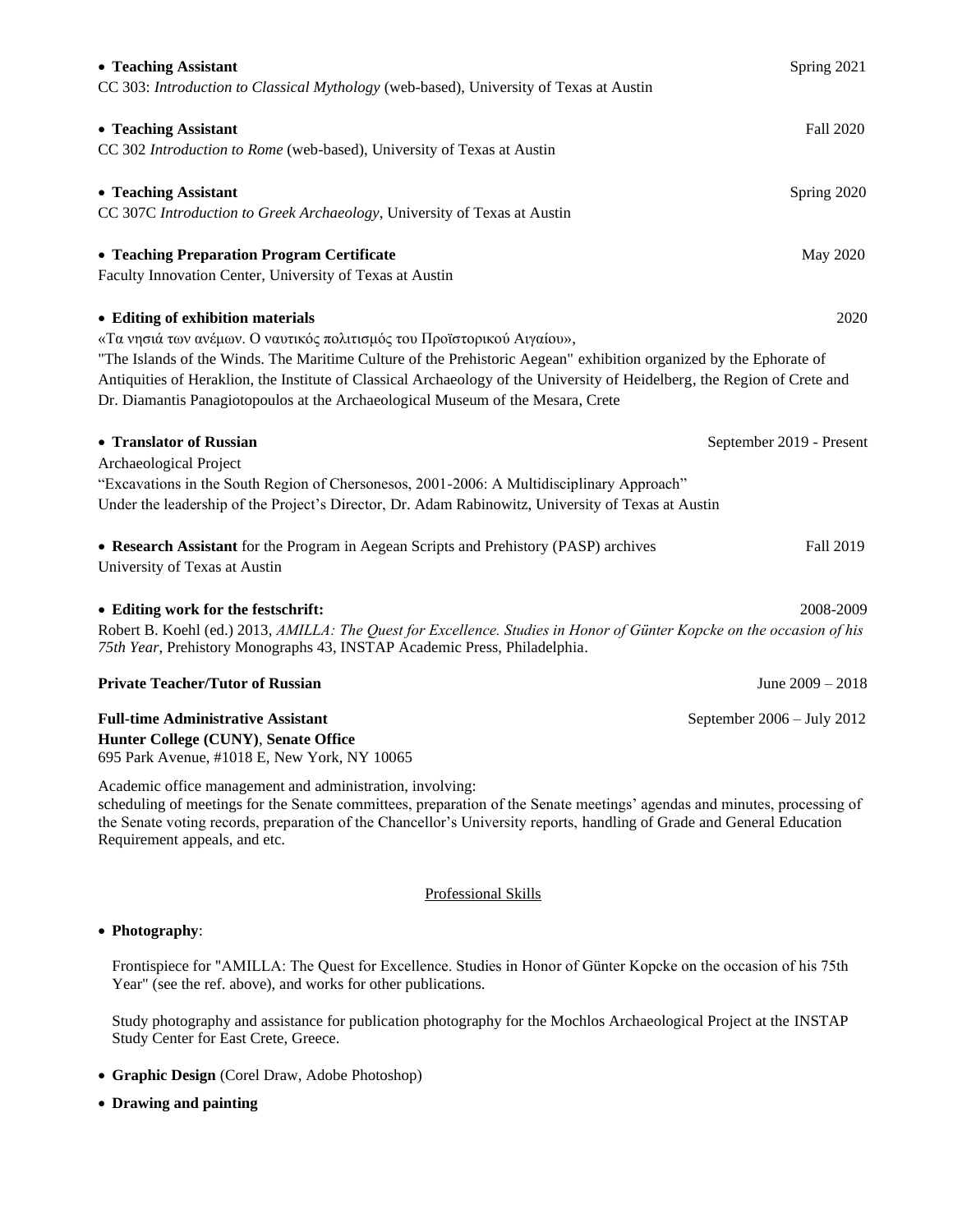| • Teaching Assistant<br>CC 303: Introduction to Classical Mythology (web-based), University of Texas at Austin                                                                                                                                                                                                                                                                                                                                            | Spring 2021                |  |
|-----------------------------------------------------------------------------------------------------------------------------------------------------------------------------------------------------------------------------------------------------------------------------------------------------------------------------------------------------------------------------------------------------------------------------------------------------------|----------------------------|--|
| • Teaching Assistant<br>CC 302 Introduction to Rome (web-based), University of Texas at Austin                                                                                                                                                                                                                                                                                                                                                            | Fall 2020                  |  |
| • Teaching Assistant<br>CC 307C Introduction to Greek Archaeology, University of Texas at Austin                                                                                                                                                                                                                                                                                                                                                          | Spring 2020                |  |
| • Teaching Preparation Program Certificate<br>Faculty Innovation Center, University of Texas at Austin                                                                                                                                                                                                                                                                                                                                                    | May 2020                   |  |
| • Editing of exhibition materials<br>2020<br>«Τα νησιά των ανέμων. Ο ναυτικός πολιτισμός του Προϊστορικού Αιγαίου»,<br>"The Islands of the Winds. The Maritime Culture of the Prehistoric Aegean" exhibition organized by the Ephorate of<br>Antiquities of Heraklion, the Institute of Classical Archaeology of the University of Heidelberg, the Region of Crete and<br>Dr. Diamantis Panagiotopoulos at the Archaeological Museum of the Mesara, Crete |                            |  |
| • Translator of Russian<br>Archaeological Project<br>"Excavations in the South Region of Chersonesos, 2001-2006: A Multidisciplinary Approach"<br>Under the leadership of the Project's Director, Dr. Adam Rabinowitz, University of Texas at Austin                                                                                                                                                                                                      | September 2019 - Present   |  |
| • Research Assistant for the Program in Aegean Scripts and Prehistory (PASP) archives<br>University of Texas at Austin                                                                                                                                                                                                                                                                                                                                    | Fall 2019                  |  |
| • Editing work for the festschrift:<br>Robert B. Koehl (ed.) 2013, AMILLA: The Quest for Excellence. Studies in Honor of Günter Kopcke on the occasion of his<br>75th Year, Prehistory Monographs 43, INSTAP Academic Press, Philadelphia.                                                                                                                                                                                                                | 2008-2009                  |  |
| <b>Private Teacher/Tutor of Russian</b>                                                                                                                                                                                                                                                                                                                                                                                                                   | June $2009 - 2018$         |  |
| <b>Full-time Administrative Assistant</b><br>Hunter College (CUNY), Senate Office<br>695 Park Avenue, #1018 E, New York, NY 10065                                                                                                                                                                                                                                                                                                                         | September 2006 - July 2012 |  |
| Academic office management and administration, involving:<br>scheduling of meetings for the Senate committees, preparation of the Senate meetings' agendas and minutes, processing of<br>the Senate voting records, preparation of the Chancellor's University reports, handling of Grade and General Education                                                                                                                                           |                            |  |

### Professional Skills

#### • **Photography**:

Requirement appeals, and etc.

Frontispiece for "ΑΜΙLLΑ: The Quest for Excellence. Studies in Honor of Günter Kopcke on the occasion of his 75th Year" (see the ref. above), and works for other publications.

Study photography and assistance for publication photography for the Mochlos Archaeological Project at the INSTAP Study Center for East Crete, Greece.

- **Graphic Design** (Corel Draw, Adobe Photoshop)
- **Drawing and painting**